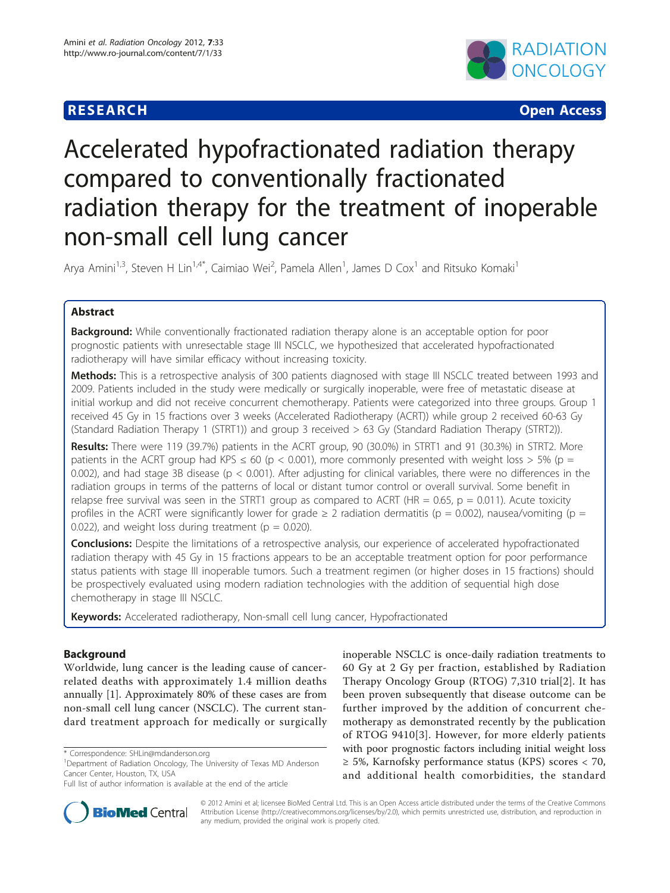# **RESEARCH CONTROL** CONTROL CONTROL CONTROL CONTROL CONTROL CONTROL CONTROL CONTROL CONTROL CONTROL CONTROL CONTROL



# Accelerated hypofractionated radiation therapy compared to conventionally fractionated radiation therapy for the treatment of inoperable non-small cell lung cancer

Arya Amini<sup>1,3</sup>, Steven H Lin<sup>1,4\*</sup>, Caimiao Wei<sup>2</sup>, Pamela Allen<sup>1</sup>, James D Cox<sup>1</sup> and Ritsuko Komaki<sup>1</sup>

# Abstract

**Background:** While conventionally fractionated radiation therapy alone is an acceptable option for poor prognostic patients with unresectable stage III NSCLC, we hypothesized that accelerated hypofractionated radiotherapy will have similar efficacy without increasing toxicity.

Methods: This is a retrospective analysis of 300 patients diagnosed with stage III NSCLC treated between 1993 and 2009. Patients included in the study were medically or surgically inoperable, were free of metastatic disease at initial workup and did not receive concurrent chemotherapy. Patients were categorized into three groups. Group received 45 Gy in 15 fractions over 3 weeks (Accelerated Radiotherapy (ACRT)) while group 2 received 60-63 Gy (Standard Radiation Therapy 1 (STRT1)) and group 3 received > 63 Gy (Standard Radiation Therapy (STRT2)).

Results: There were 119 (39.7%) patients in the ACRT group, 90 (30.0%) in STRT1 and 91 (30.3%) in STRT2. More patients in the ACRT group had KPS  $\leq 60$  (p  $< 0.001$ ), more commonly presented with weight loss  $> 5\%$  (p = 0.002), and had stage 3B disease ( $p < 0.001$ ). After adjusting for clinical variables, there were no differences in the radiation groups in terms of the patterns of local or distant tumor control or overall survival. Some benefit in relapse free survival was seen in the STRT1 group as compared to ACRT (HR =  $0.65$ , p =  $0.011$ ). Acute toxicity profiles in the ACRT were significantly lower for grade  $\geq 2$  radiation dermatitis ( $p = 0.002$ ), nausea/vomiting ( $p = 1$ 0.022), and weight loss during treatment ( $p = 0.020$ ).

**Conclusions:** Despite the limitations of a retrospective analysis, our experience of accelerated hypofractionated radiation therapy with 45 Gy in 15 fractions appears to be an acceptable treatment option for poor performance status patients with stage III inoperable tumors. Such a treatment regimen (or higher doses in 15 fractions) should be prospectively evaluated using modern radiation technologies with the addition of sequential high dose chemotherapy in stage III NSCLC.

Keywords: Accelerated radiotherapy, Non-small cell lung cancer, Hypofractionated

# Background

Worldwide, lung cancer is the leading cause of cancerrelated deaths with approximately 1.4 million deaths annually [[1\]](#page-6-0). Approximately 80% of these cases are from non-small cell lung cancer (NSCLC). The current standard treatment approach for medically or surgically

Full list of author information is available at the end of the article



**BioMed Central** 

© 2012 Amini et al; licensee BioMed Central Ltd. This is an Open Access article distributed under the terms of the Creative Commons Attribution License [\(http://creativecommons.org/licenses/by/2.0](http://creativecommons.org/licenses/by/2.0)), which permits unrestricted use, distribution, and reproduction in any medium, provided the original work is properly cited.

<sup>\*</sup> Correspondence: [SHLin@mdanderson.org](mailto:SHLin@mdanderson.org)

<sup>&</sup>lt;sup>1</sup>Department of Radiation Oncology, The University of Texas MD Anderson Cancer Center, Houston, TX, USA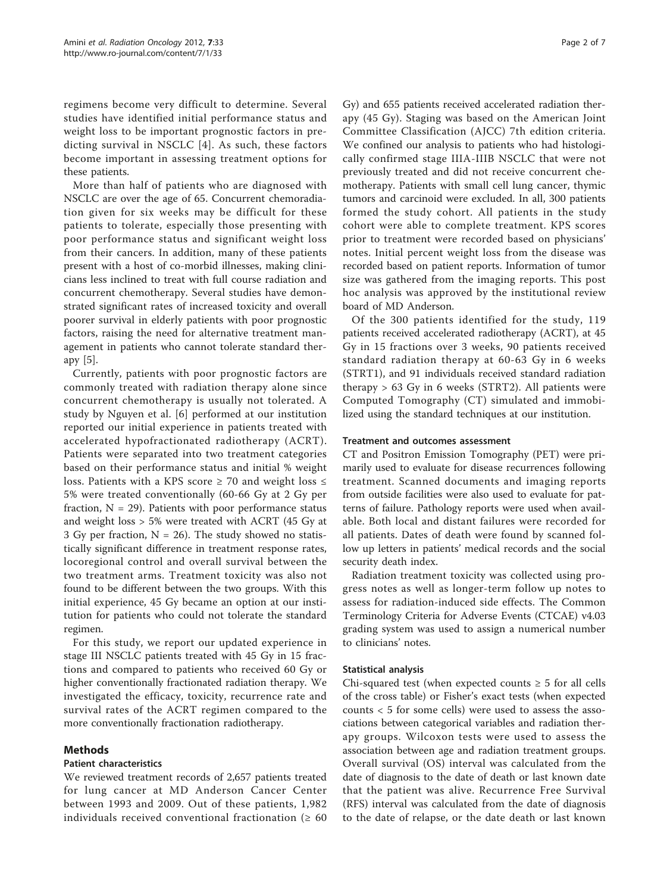regimens become very difficult to determine. Several studies have identified initial performance status and weight loss to be important prognostic factors in predicting survival in NSCLC [[4\]](#page-6-0). As such, these factors become important in assessing treatment options for these patients.

More than half of patients who are diagnosed with NSCLC are over the age of 65. Concurrent chemoradiation given for six weeks may be difficult for these patients to tolerate, especially those presenting with poor performance status and significant weight loss from their cancers. In addition, many of these patients present with a host of co-morbid illnesses, making clinicians less inclined to treat with full course radiation and concurrent chemotherapy. Several studies have demonstrated significant rates of increased toxicity and overall poorer survival in elderly patients with poor prognostic factors, raising the need for alternative treatment management in patients who cannot tolerate standard therapy [\[5\]](#page-6-0).

Currently, patients with poor prognostic factors are commonly treated with radiation therapy alone since concurrent chemotherapy is usually not tolerated. A study by Nguyen et al. [[6](#page-6-0)] performed at our institution reported our initial experience in patients treated with accelerated hypofractionated radiotherapy (ACRT). Patients were separated into two treatment categories based on their performance status and initial % weight loss. Patients with a KPS score ≥ 70 and weight loss  $≤$ 5% were treated conventionally (60-66 Gy at 2 Gy per fraction,  $N = 29$ ). Patients with poor performance status and weight loss > 5% were treated with ACRT (45 Gy at 3 Gy per fraction,  $N = 26$ ). The study showed no statistically significant difference in treatment response rates, locoregional control and overall survival between the two treatment arms. Treatment toxicity was also not found to be different between the two groups. With this initial experience, 45 Gy became an option at our institution for patients who could not tolerate the standard regimen.

For this study, we report our updated experience in stage III NSCLC patients treated with 45 Gy in 15 fractions and compared to patients who received 60 Gy or higher conventionally fractionated radiation therapy. We investigated the efficacy, toxicity, recurrence rate and survival rates of the ACRT regimen compared to the more conventionally fractionation radiotherapy.

# Methods

# Patient characteristics

We reviewed treatment records of 2,657 patients treated for lung cancer at MD Anderson Cancer Center between 1993 and 2009. Out of these patients, 1,982 individuals received conventional fractionation ( $\geq 60$ 

Gy) and 655 patients received accelerated radiation therapy (45 Gy). Staging was based on the American Joint Committee Classification (AJCC) 7th edition criteria. We confined our analysis to patients who had histologically confirmed stage IIIA-IIIB NSCLC that were not previously treated and did not receive concurrent chemotherapy. Patients with small cell lung cancer, thymic tumors and carcinoid were excluded. In all, 300 patients formed the study cohort. All patients in the study cohort were able to complete treatment. KPS scores prior to treatment were recorded based on physicians' notes. Initial percent weight loss from the disease was recorded based on patient reports. Information of tumor size was gathered from the imaging reports. This post hoc analysis was approved by the institutional review board of MD Anderson.

Of the 300 patients identified for the study, 119 patients received accelerated radiotherapy (ACRT), at 45 Gy in 15 fractions over 3 weeks, 90 patients received standard radiation therapy at 60-63 Gy in 6 weeks (STRT1), and 91 individuals received standard radiation therapy  $> 63$  Gy in 6 weeks (STRT2). All patients were Computed Tomography (CT) simulated and immobilized using the standard techniques at our institution.

#### Treatment and outcomes assessment

CT and Positron Emission Tomography (PET) were primarily used to evaluate for disease recurrences following treatment. Scanned documents and imaging reports from outside facilities were also used to evaluate for patterns of failure. Pathology reports were used when available. Both local and distant failures were recorded for all patients. Dates of death were found by scanned follow up letters in patients' medical records and the social security death index.

Radiation treatment toxicity was collected using progress notes as well as longer-term follow up notes to assess for radiation-induced side effects. The Common Terminology Criteria for Adverse Events (CTCAE) v4.03 grading system was used to assign a numerical number to clinicians' notes.

# Statistical analysis

Chi-squared test (when expected counts  $\geq 5$  for all cells of the cross table) or Fisher's exact tests (when expected counts < 5 for some cells) were used to assess the associations between categorical variables and radiation therapy groups. Wilcoxon tests were used to assess the association between age and radiation treatment groups. Overall survival (OS) interval was calculated from the date of diagnosis to the date of death or last known date that the patient was alive. Recurrence Free Survival (RFS) interval was calculated from the date of diagnosis to the date of relapse, or the date death or last known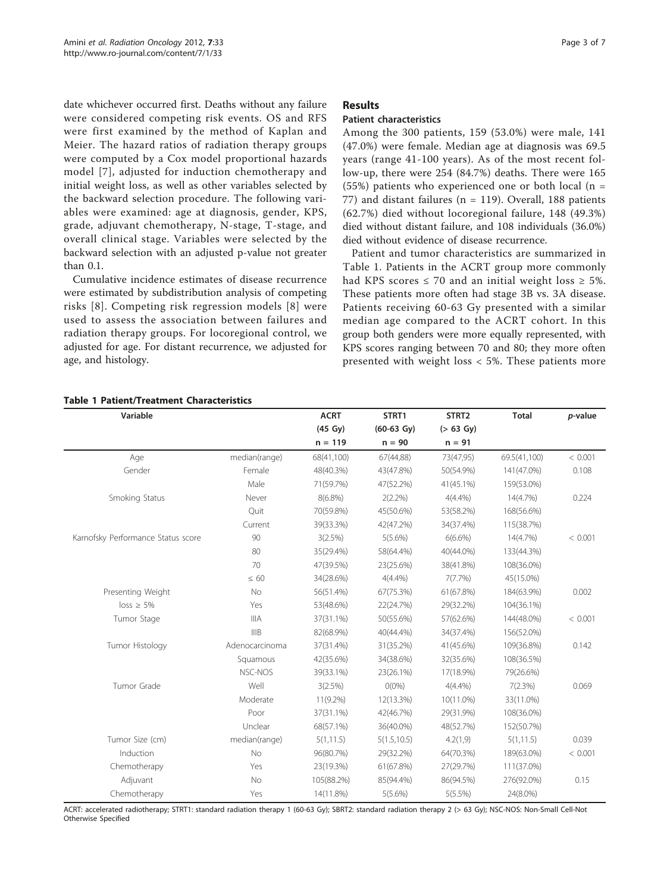<span id="page-2-0"></span>date whichever occurred first. Deaths without any failure were considered competing risk events. OS and RFS were first examined by the method of Kaplan and Meier. The hazard ratios of radiation therapy groups were computed by a Cox model proportional hazards model [[7](#page-6-0)], adjusted for induction chemotherapy and initial weight loss, as well as other variables selected by the backward selection procedure. The following variables were examined: age at diagnosis, gender, KPS, grade, adjuvant chemotherapy, N-stage, T-stage, and overall clinical stage. Variables were selected by the backward selection with an adjusted p-value not greater than 0.1.

Cumulative incidence estimates of disease recurrence were estimated by subdistribution analysis of competing risks [[8](#page-6-0)]. Competing risk regression models [[8](#page-6-0)] were used to assess the association between failures and radiation therapy groups. For locoregional control, we adjusted for age. For distant recurrence, we adjusted for age, and histology.

#### Page 3 of 7

#### Results

## Patient characteristics

Among the 300 patients, 159 (53.0%) were male, 141 (47.0%) were female. Median age at diagnosis was 69.5 years (range 41-100 years). As of the most recent follow-up, there were 254 (84.7%) deaths. There were 165 (55%) patients who experienced one or both local ( $n =$ 77) and distant failures ( $n = 119$ ). Overall, 188 patients (62.7%) died without locoregional failure, 148 (49.3%) died without distant failure, and 108 individuals (36.0%) died without evidence of disease recurrence.

Patient and tumor characteristics are summarized in Table 1. Patients in the ACRT group more commonly had KPS scores  $\leq$  70 and an initial weight loss  $\geq$  5%. These patients more often had stage 3B vs. 3A disease. Patients receiving 60-63 Gy presented with a similar median age compared to the ACRT cohort. In this group both genders were more equally represented, with KPS scores ranging between 70 and 80; they more often presented with weight loss < 5%. These patients more

| Variable                           |                | <b>ACRT</b> | STRT1                | STRT2        | <b>Total</b> | p-value |
|------------------------------------|----------------|-------------|----------------------|--------------|--------------|---------|
|                                    |                | (45 Gy)     | $(60-63 \text{ Gy})$ | $( > 63$ Gy) |              |         |
|                                    |                | $n = 119$   | $n = 90$             | $n = 91$     |              |         |
| Age                                | median(range)  | 68(41,100)  | 67(44,88)            | 73(47,95)    | 69.5(41,100) | < 0.001 |
| Gender                             | Female         | 48(40.3%)   | 43(47.8%)            | 50(54.9%)    | 141(47.0%)   | 0.108   |
|                                    | Male           | 71(59.7%)   | 47(52.2%)            | 41(45.1%)    | 159(53.0%)   |         |
| Smoking Status                     | Never          | $8(6.8\%)$  | $2(2.2\%)$           | $4(4.4\%)$   | 14(4.7%)     | 0.224   |
|                                    | Quit           | 70(59.8%)   | 45(50.6%)            | 53(58.2%)    | 168(56.6%)   |         |
|                                    | Current        | 39(33.3%)   | 42(47.2%)            | 34(37.4%)    | 115(38.7%)   |         |
| Karnofsky Performance Status score | 90             | 3(2.5%)     | $5(5.6\%)$           | $6(6.6\%)$   | 14(4.7%)     | < 0.001 |
|                                    | 80             | 35(29.4%)   | 58(64.4%)            | 40(44.0%)    | 133(44.3%)   |         |
|                                    | 70             | 47(39.5%)   | 23(25.6%)            | 38(41.8%)    | 108(36.0%)   |         |
|                                    | $\leq 60$      | 34(28.6%)   | 4(4.4%)              | $7(7.7\%)$   | 45(15.0%)    |         |
| Presenting Weight                  | No             | 56(51.4%)   | 67(75.3%)            | 61(67.8%)    | 184(63.9%)   | 0.002   |
| $loss \geq 5\%$                    | Yes            | 53(48.6%)   | 22(24.7%)            | 29(32.2%)    | 104(36.1%)   |         |
| Tumor Stage                        | <b>IIIA</b>    | 37(31.1%)   | 50(55.6%)            | 57(62.6%)    | 144(48.0%)   | < 0.001 |
|                                    | IIIB           | 82(68.9%)   | 40(44.4%)            | 34(37.4%)    | 156(52.0%)   |         |
| Tumor Histology                    | Adenocarcinoma | 37(31.4%)   | 31(35.2%)            | 41(45.6%)    | 109(36.8%)   | 0.142   |
|                                    | Squamous       | 42(35.6%)   | 34(38.6%)            | 32(35.6%)    | 108(36.5%)   |         |
|                                    | NSC-NOS        | 39(33.1%)   | 23(26.1%)            | 17(18.9%)    | 79(26.6%)    |         |
| Tumor Grade                        | Well           | 3(2.5%)     | $O(0\%)$             | $4(4.4\%)$   | 7(2.3%)      | 0.069   |
|                                    | Moderate       | $11(9.2\%)$ | 12(13.3%)            | 10(11.0%)    | 33(11.0%)    |         |
|                                    | Poor           | 37(31.1%)   | 42(46.7%)            | 29(31.9%)    | 108(36.0%)   |         |
|                                    | Unclear        | 68(57.1%)   | 36(40.0%)            | 48(52.7%)    | 152(50.7%)   |         |
| Tumor Size (cm)                    | median(range)  | 5(1, 11.5)  | 5(1.5, 10.5)         | 4.2(1,9)     | 5(1, 11.5)   | 0.039   |
| Induction                          | No             | 96(80.7%)   | 29(32.2%)            | 64(70.3%)    | 189(63.0%)   | < 0.001 |
| Chemotherapy                       | Yes            | 23(19.3%)   | 61(67.8%)            | 27(29.7%)    | 111(37.0%)   |         |
| Adjuvant                           | No             | 105(88.2%)  | 85(94.4%)            | 86(94.5%)    | 276(92.0%)   | 0.15    |
| Chemotherapy                       | Yes            | 14(11.8%)   | $5(5.6\%)$           | 5(5.5%)      | 24(8.0%)     |         |

#### Table 1 Patient/Treatment Characteristics

ACRT: accelerated radiotherapy; STRT1: standard radiation therapy 1 (60-63 Gy); SBRT2: standard radiation therapy 2 (> 63 Gy); NSC-NOS: Non-Small Cell-Not Otherwise Specified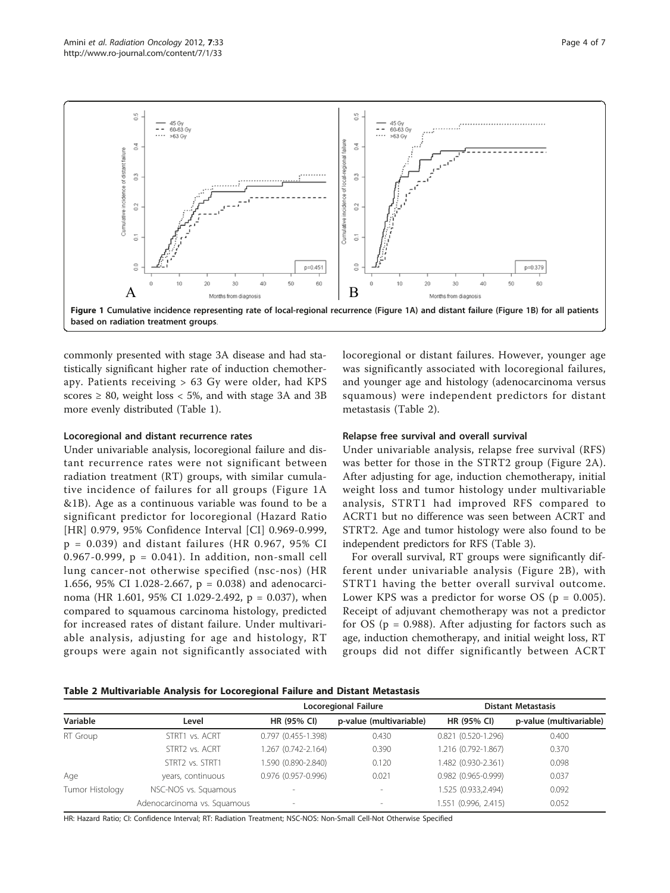

commonly presented with stage 3A disease and had statistically significant higher rate of induction chemotherapy. Patients receiving > 63 Gy were older, had KPS scores  $\geq 80$ , weight loss  $\lt 5\%$ , and with stage 3A and 3B more evenly distributed (Table [1](#page-2-0)).

#### Locoregional and distant recurrence rates

Under univariable analysis, locoregional failure and distant recurrence rates were not significant between radiation treatment (RT) groups, with similar cumulative incidence of failures for all groups (Figure 1A &1B). Age as a continuous variable was found to be a significant predictor for locoregional (Hazard Ratio [HR] 0.979, 95% Confidence Interval [CI] 0.969-0.999,  $p = 0.039$ ) and distant failures (HR 0.967, 95% CI 0.967-0.999, p = 0.041). In addition, non-small cell lung cancer-not otherwise specified (nsc-nos) (HR 1.656, 95% CI 1.028-2.667, p = 0.038) and adenocarcinoma (HR 1.601, 95% CI 1.029-2.492, p = 0.037), when compared to squamous carcinoma histology, predicted for increased rates of distant failure. Under multivariable analysis, adjusting for age and histology, RT groups were again not significantly associated with locoregional or distant failures. However, younger age was significantly associated with locoregional failures, and younger age and histology (adenocarcinoma versus squamous) were independent predictors for distant metastasis (Table 2).

# Relapse free survival and overall survival

Under univariable analysis, relapse free survival (RFS) was better for those in the STRT2 group (Figure [2A](#page-4-0)). After adjusting for age, induction chemotherapy, initial weight loss and tumor histology under multivariable analysis, STRT1 had improved RFS compared to ACRT1 but no difference was seen between ACRT and STRT2. Age and tumor histology were also found to be independent predictors for RFS (Table [3](#page-4-0)).

For overall survival, RT groups were significantly different under univariable analysis (Figure [2B\)](#page-4-0), with STRT1 having the better overall survival outcome. Lower KPS was a predictor for worse OS ( $p = 0.005$ ). Receipt of adjuvant chemotherapy was not a predictor for  $OS$  ( $p = 0.988$ ). After adjusting for factors such as age, induction chemotherapy, and initial weight loss, RT groups did not differ significantly between ACRT

| Table 2 Multivariable Analysis for Locoregional Failure and Distant Metastasis |  |  |  |  |
|--------------------------------------------------------------------------------|--|--|--|--|
|--------------------------------------------------------------------------------|--|--|--|--|

|                 | Level                       |                     | Locoregional Failure    | <b>Distant Metastasis</b> |                         |  |
|-----------------|-----------------------------|---------------------|-------------------------|---------------------------|-------------------------|--|
| Variable        |                             | HR (95% CI)         | p-value (multivariable) | <b>HR (95% CI)</b>        | p-value (multivariable) |  |
| RT Group        | STRT1 vs. ACRT              | 0.797 (0.455-1.398) | 0.430                   | $0.821(0.520-1.296)$      | 0.400                   |  |
|                 | STRT2 vs. ACRT              | 1.267 (0.742-2.164) | 0.390                   | 1.216 (0.792-1.867)       | 0.370                   |  |
|                 | STRT2 vs. STRT1             | 1.590 (0.890-2.840) | 0.120                   | 1.482 (0.930-2.361)       | 0.098                   |  |
| Age             | years, continuous           | 0.976 (0.957-0.996) | 0.021                   | $0.982$ (0.965-0.999)     | 0.037                   |  |
| Tumor Histology | NSC-NOS vs. Squamous        |                     |                         | 1.525 (0.933,2.494)       | 0.092                   |  |
|                 | Adenocarcinoma vs. Squamous |                     |                         | 1.551 (0.996, 2.415)      | 0.052                   |  |

HR: Hazard Ratio; CI: Confidence Interval; RT: Radiation Treatment; NSC-NOS: Non-Small Cell-Not Otherwise Specified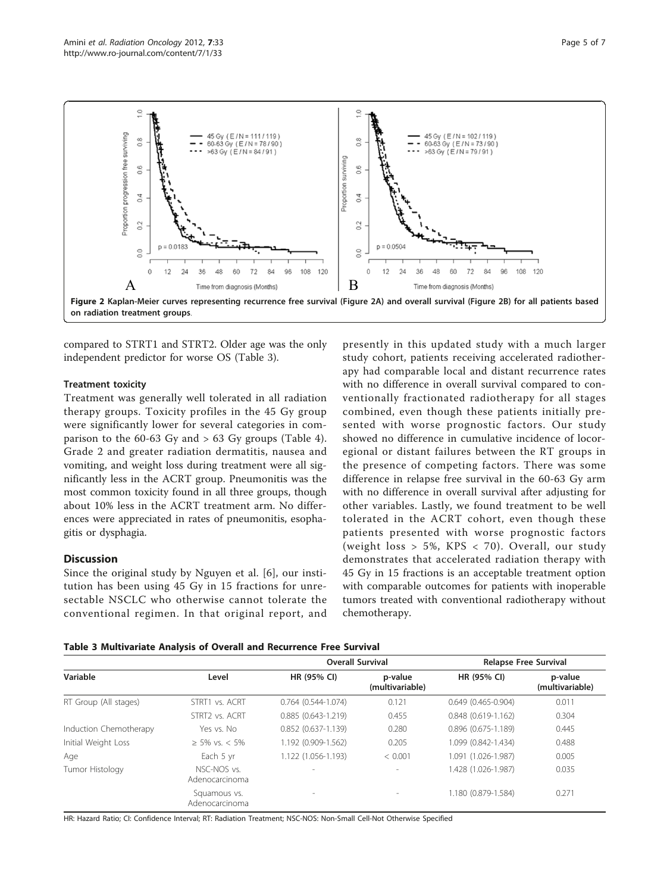<span id="page-4-0"></span>

compared to STRT1 and STRT2. Older age was the only independent predictor for worse OS (Table 3).

# Treatment toxicity

Treatment was generally well tolerated in all radiation therapy groups. Toxicity profiles in the 45 Gy group were significantly lower for several categories in comparison to the 60-63 Gy and  $> 63$  Gy groups (Table [4](#page-5-0)). Grade 2 and greater radiation dermatitis, nausea and vomiting, and weight loss during treatment were all significantly less in the ACRT group. Pneumonitis was the most common toxicity found in all three groups, though about 10% less in the ACRT treatment arm. No differences were appreciated in rates of pneumonitis, esophagitis or dysphagia.

# **Discussion**

Since the original study by Nguyen et al. [[6\]](#page-6-0), our institution has been using 45 Gy in 15 fractions for unresectable NSCLC who otherwise cannot tolerate the conventional regimen. In that original report, and

presently in this updated study with a much larger study cohort, patients receiving accelerated radiotherapy had comparable local and distant recurrence rates with no difference in overall survival compared to conventionally fractionated radiotherapy for all stages combined, even though these patients initially presented with worse prognostic factors. Our study showed no difference in cumulative incidence of locoregional or distant failures between the RT groups in the presence of competing factors. There was some difference in relapse free survival in the 60-63 Gy arm with no difference in overall survival after adjusting for other variables. Lastly, we found treatment to be well tolerated in the ACRT cohort, even though these patients presented with worse prognostic factors (weight loss > 5%, KPS < 70). Overall, our study demonstrates that accelerated radiation therapy with 45 Gy in 15 fractions is an acceptable treatment option with comparable outcomes for patients with inoperable tumors treated with conventional radiotherapy without chemotherapy.

|                        | Level                          | <b>Overall Survival</b>   |                            | <b>Relapse Free Survival</b> |                            |
|------------------------|--------------------------------|---------------------------|----------------------------|------------------------------|----------------------------|
| Variable               |                                | HR (95% CI)               | p-value<br>(multivariable) | HR (95% CI)                  | p-value<br>(multivariable) |
| RT Group (All stages)  | STRT1 vs. ACRT                 | $0.764(0.544 - 1.074)$    | 0.121                      | $0.649(0.465 - 0.904)$       | 0.011                      |
|                        | STRT2 vs. ACRT                 | $0.885(0.643 - 1.219)$    | 0.455                      | $0.848(0.619-1.162)$         | 0.304                      |
| Induction Chemotherapy | Yes vs. No                     | $0.852$ $(0.637 - 1.139)$ | 0.280                      | $0.896$ $(0.675 - 1.189)$    | 0.445                      |
| Initial Weight Loss    | $> 5\%$ vs. < 5%               | 1.192 (0.909-1.562)       | 0.205                      | 1.099 (0.842-1.434)          | 0.488                      |
| Age                    | Each 5 yr                      | 1.122 (1.056-1.193)       | < 0.001                    | 1.091 (1.026-1.987)          | 0.005                      |
| Tumor Histology        | NSC-NOS vs.<br>Adenocarcinoma  | $\overline{\phantom{a}}$  | $\overline{\phantom{a}}$   | 1.428 (1.026-1.987)          | 0.035                      |
|                        | Squamous vs.<br>Adenocarcinoma | $\overline{\phantom{a}}$  | $\overline{\phantom{a}}$   | 1.180 (0.879-1.584)          | 0.271                      |

HR: Hazard Ratio; CI: Confidence Interval; RT: Radiation Treatment; NSC-NOS: Non-Small Cell-Not Otherwise Specified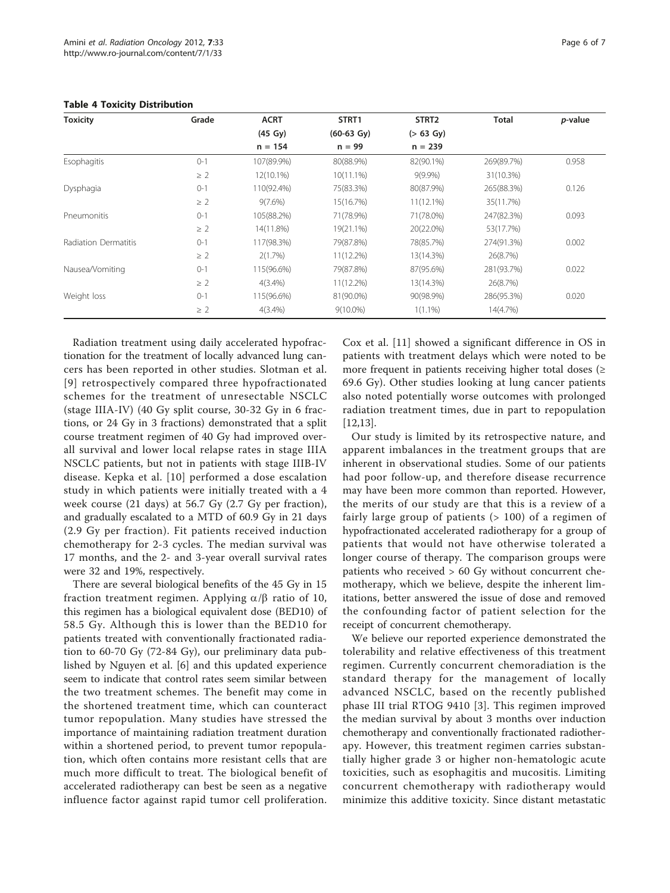| <b>Toxicity</b>             | Grade    | <b>ACRT</b> | STRT1<br>$(60-63 \text{ Gy})$ | STRT <sub>2</sub> | <b>Total</b> | <i>p</i> -value |
|-----------------------------|----------|-------------|-------------------------------|-------------------|--------------|-----------------|
|                             |          | (45 Gy)     |                               | $( > 63$ Gy)      |              |                 |
|                             |          | $n = 154$   | $n = 99$                      | $n = 239$         |              |                 |
| Esophagitis                 | $0 - 1$  | 107(89.9%)  | 80(88.9%)                     | 82(90.1%)         | 269(89.7%)   | 0.958           |
|                             | $\geq 2$ | 12(10.1%)   | $10(11.1\%)$                  | $9(9.9\%)$        | 31(10.3%)    |                 |
| Dysphagia                   | $0 - 1$  | 110(92.4%)  | 75(83.3%)                     | 80(87.9%)         | 265(88.3%)   | 0.126           |
|                             | $\geq$ 2 | $9(7.6\%)$  | 15(16.7%)                     | 11(12.1%)         | 35(11.7%)    |                 |
| Pneumonitis                 | $0 - 1$  | 105(88.2%)  | 71(78.9%)                     | 71(78.0%)         | 247(82.3%)   | 0.093           |
|                             | $\geq$ 2 | 14(11.8%)   | 19(21.1%)                     | 20(22.0%)         | 53(17.7%)    |                 |
| <b>Radiation Dermatitis</b> | $() - 1$ | 117(98.3%)  | 79(87.8%)                     | 78(85.7%)         | 274(91.3%)   | 0.002           |
|                             | $\geq$ 2 | 2(1.7%)     | 11(12.2%)                     | 13(14.3%)         | 26(8.7%)     |                 |
| Nausea/Vomiting             | $0 - 1$  | 115(96.6%)  | 79(87.8%)                     | 87(95.6%)         | 281(93.7%)   | 0.022           |
|                             | $\geq$ 2 | $4(3.4\%)$  | 11(12.2%)                     | 13(14.3%)         | 26(8.7%)     |                 |
| Weight loss                 | $O-1$    | 115(96.6%)  | 81(90.0%)                     | 90(98.9%)         | 286(95.3%)   | 0.020           |
|                             | $\geq$ 2 | $4(3.4\%)$  | $9(10.0\%)$                   | $1(1.1\%)$        | 14(4.7%)     |                 |

#### <span id="page-5-0"></span>Table 4 Toxicity Distribution

Radiation treatment using daily accelerated hypofractionation for the treatment of locally advanced lung cancers has been reported in other studies. Slotman et al. [[9\]](#page-6-0) retrospectively compared three hypofractionated schemes for the treatment of unresectable NSCLC (stage IIIA-IV) (40 Gy split course, 30-32 Gy in 6 fractions, or 24 Gy in 3 fractions) demonstrated that a split course treatment regimen of 40 Gy had improved overall survival and lower local relapse rates in stage IIIA NSCLC patients, but not in patients with stage IIIB-IV disease. Kepka et al. [\[10\]](#page-6-0) performed a dose escalation study in which patients were initially treated with a 4 week course (21 days) at 56.7 Gy (2.7 Gy per fraction), and gradually escalated to a MTD of 60.9 Gy in 21 days (2.9 Gy per fraction). Fit patients received induction chemotherapy for 2-3 cycles. The median survival was 17 months, and the 2- and 3-year overall survival rates were 32 and 19%, respectively.

There are several biological benefits of the 45 Gy in 15 fraction treatment regimen. Applying  $\alpha/\beta$  ratio of 10, this regimen has a biological equivalent dose (BED10) of 58.5 Gy. Although this is lower than the BED10 for patients treated with conventionally fractionated radiation to 60-70 Gy (72-84 Gy), our preliminary data published by Nguyen et al. [\[6](#page-6-0)] and this updated experience seem to indicate that control rates seem similar between the two treatment schemes. The benefit may come in the shortened treatment time, which can counteract tumor repopulation. Many studies have stressed the importance of maintaining radiation treatment duration within a shortened period, to prevent tumor repopulation, which often contains more resistant cells that are much more difficult to treat. The biological benefit of accelerated radiotherapy can best be seen as a negative influence factor against rapid tumor cell proliferation.

Cox et al. [\[11](#page-6-0)] showed a significant difference in OS in patients with treatment delays which were noted to be more frequent in patients receiving higher total doses ( $\geq$ 69.6 Gy). Other studies looking at lung cancer patients also noted potentially worse outcomes with prolonged radiation treatment times, due in part to repopulation [[12,13\]](#page-6-0).

Our study is limited by its retrospective nature, and apparent imbalances in the treatment groups that are inherent in observational studies. Some of our patients had poor follow-up, and therefore disease recurrence may have been more common than reported. However, the merits of our study are that this is a review of a fairly large group of patients (> 100) of a regimen of hypofractionated accelerated radiotherapy for a group of patients that would not have otherwise tolerated a longer course of therapy. The comparison groups were patients who received > 60 Gy without concurrent chemotherapy, which we believe, despite the inherent limitations, better answered the issue of dose and removed the confounding factor of patient selection for the receipt of concurrent chemotherapy.

We believe our reported experience demonstrated the tolerability and relative effectiveness of this treatment regimen. Currently concurrent chemoradiation is the standard therapy for the management of locally advanced NSCLC, based on the recently published phase III trial RTOG 9410 [[3\]](#page-6-0). This regimen improved the median survival by about 3 months over induction chemotherapy and conventionally fractionated radiotherapy. However, this treatment regimen carries substantially higher grade 3 or higher non-hematologic acute toxicities, such as esophagitis and mucositis. Limiting concurrent chemotherapy with radiotherapy would minimize this additive toxicity. Since distant metastatic